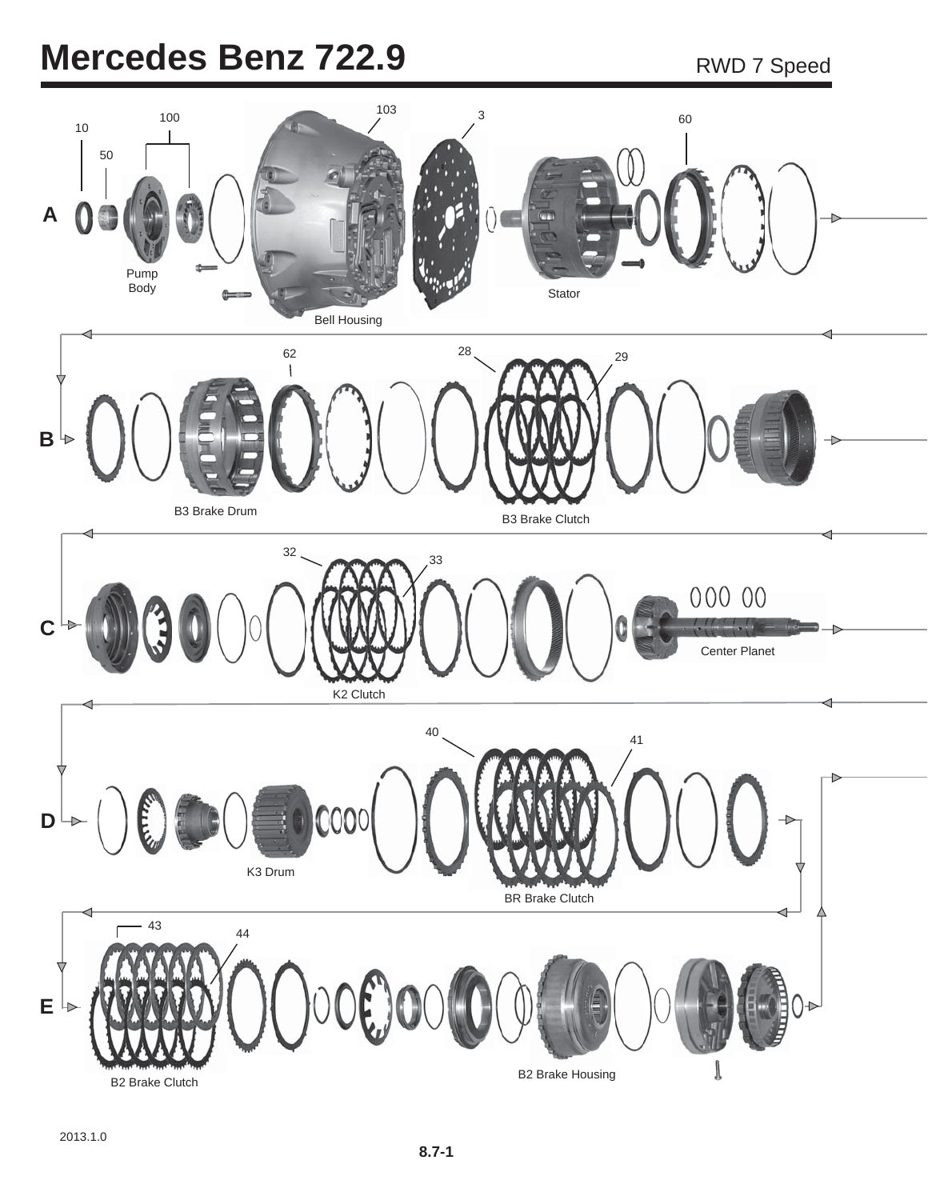## **Mercedes Benz 722.9** RWD 7 Speed

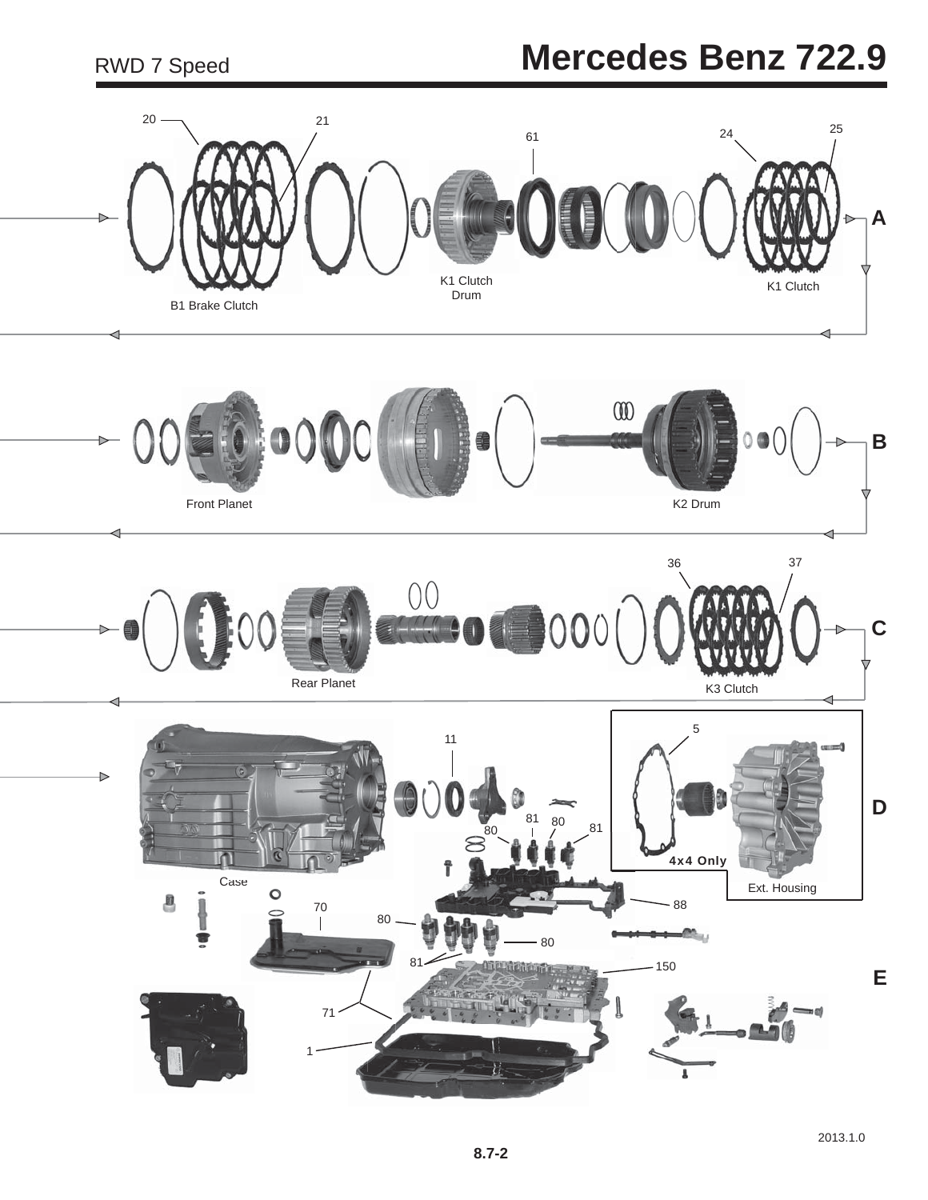## **Mercedes Benz 722.9**

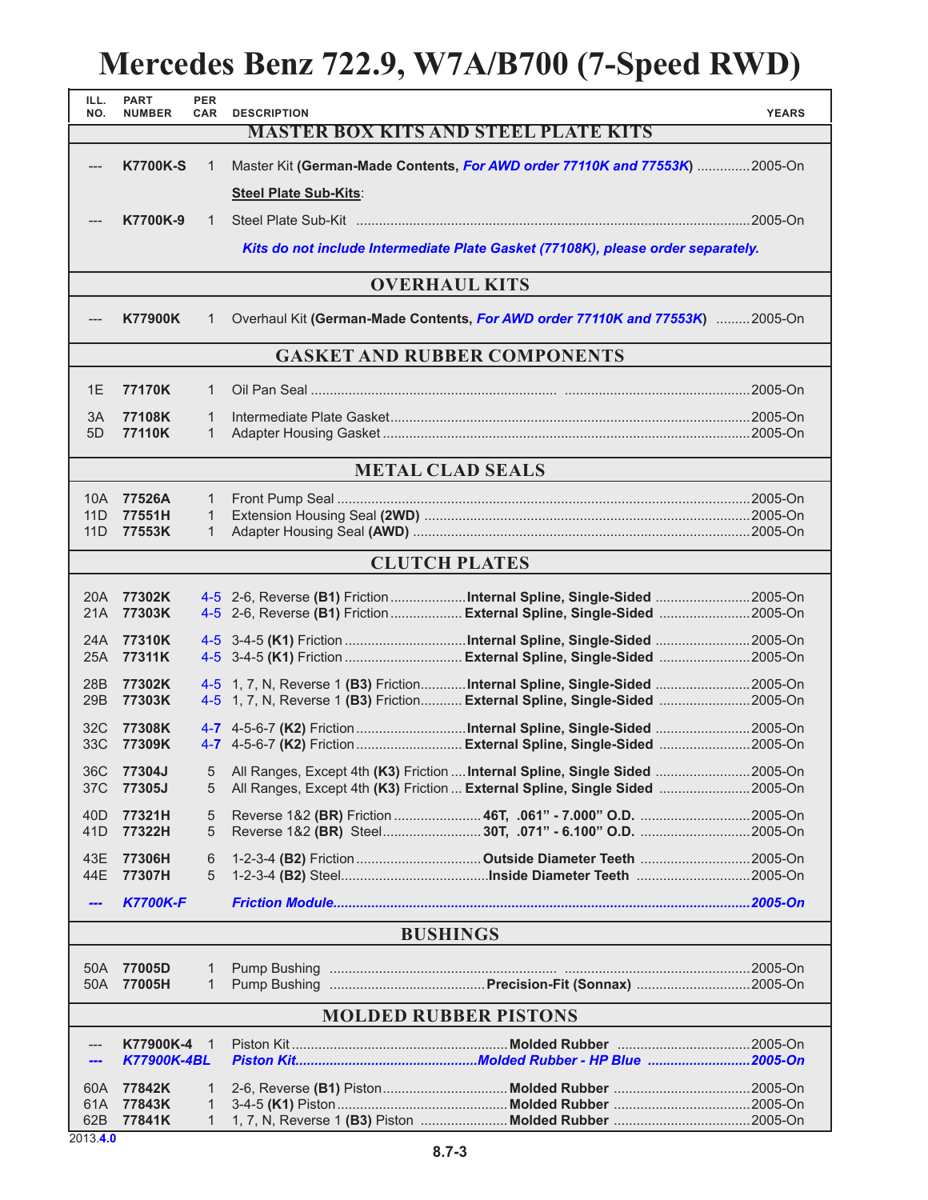## **Mercedes Benz 722.9, W7A/B700 (7-Speed RWD)**

| ILL.<br>NO.                                 | <b>PART</b><br><b>NUMBER</b>    | <b>PER</b><br><b>CAR</b> | <b>DESCRIPTION</b>    |                                                                                                                                                                  | <b>YEARS</b> |  |  |  |
|---------------------------------------------|---------------------------------|--------------------------|-----------------------|------------------------------------------------------------------------------------------------------------------------------------------------------------------|--------------|--|--|--|
| <b>MASTER BOX KITS AND STEEL PLATE KITS</b> |                                 |                          |                       |                                                                                                                                                                  |              |  |  |  |
| $---$                                       | <b>K7700K-S</b>                 | 1                        |                       | Master Kit (German-Made Contents, For AWD order 77110K and 77553K) 2005-On                                                                                       |              |  |  |  |
|                                             |                                 |                          | Steel Plate Sub-Kits: |                                                                                                                                                                  |              |  |  |  |
|                                             | K7700K-9                        | $\mathbf{1}$             |                       |                                                                                                                                                                  |              |  |  |  |
|                                             |                                 |                          |                       | Kits do not include Intermediate Plate Gasket (77108K), please order separately.                                                                                 |              |  |  |  |
| <b>OVERHAUL KITS</b>                        |                                 |                          |                       |                                                                                                                                                                  |              |  |  |  |
|                                             | <b>K77900K</b>                  | 1                        |                       | Overhaul Kit (German-Made Contents, For AWD order 77110K and 77553K) 2005-On                                                                                     |              |  |  |  |
| <b>GASKET AND RUBBER COMPONENTS</b>         |                                 |                          |                       |                                                                                                                                                                  |              |  |  |  |
| 1E                                          | 77170K                          | 1                        |                       |                                                                                                                                                                  |              |  |  |  |
| 3A                                          | 77108K                          | 1                        |                       |                                                                                                                                                                  |              |  |  |  |
| 5D                                          | 77110K                          | $\mathbf{1}$             |                       |                                                                                                                                                                  |              |  |  |  |
| <b>METAL CLAD SEALS</b>                     |                                 |                          |                       |                                                                                                                                                                  |              |  |  |  |
| 10A l                                       | 77526A                          | $\mathbf{1}$             |                       |                                                                                                                                                                  |              |  |  |  |
| 11D                                         | 77551H                          | 1                        |                       |                                                                                                                                                                  |              |  |  |  |
| 11D                                         | 77553K                          | $\mathbf{1}$             |                       |                                                                                                                                                                  |              |  |  |  |
|                                             |                                 |                          |                       | <b>CLUTCH PLATES</b>                                                                                                                                             |              |  |  |  |
| 20A                                         | 77302K                          |                          |                       |                                                                                                                                                                  |              |  |  |  |
| 21A                                         | 77303K                          |                          |                       | 4-5 2-6, Reverse (B1) Friction  External Spline, Single-Sided 2005-On                                                                                            |              |  |  |  |
| 24A                                         | 77310K                          |                          |                       |                                                                                                                                                                  |              |  |  |  |
| 25A                                         | 77311K                          |                          |                       | 4-5 3-4-5 (K1) Friction  External Spline, Single-Sided  2005-On                                                                                                  |              |  |  |  |
| 28B<br>29B                                  | 77302K<br>77303K                |                          |                       | 4-5 1, 7, N, Reverse 1 (B3) Friction <b>Internal Spline, Single-Sided</b> 2005-On<br>4-5 1, 7, N, Reverse 1 (B3) Friction External Spline, Single-Sided  2005-On |              |  |  |  |
| 32C                                         | 77308K                          |                          |                       |                                                                                                                                                                  |              |  |  |  |
| 33C                                         | 77309K                          |                          |                       | 4-7 4-5-6-7 (K2) Friction  External Spline, Single-Sided  2005-On                                                                                                |              |  |  |  |
|                                             | 36C 77304J                      |                          |                       | 5 All Ranges, Except 4th (K3) Friction  Internal Spline, Single Sided  2005-On                                                                                   |              |  |  |  |
| 37C                                         | 77305J                          | 5                        |                       | All Ranges, Except 4th (K3) Friction  External Spline, Single Sided 2005-On                                                                                      |              |  |  |  |
| 40D                                         | 77321H<br>77322H                | 5                        |                       | Reverse 1&2 (BR) Friction  46T, .061" - 7.000" O.D. 2005-On<br>Reverse 1&2 (BR) Steel30T, .071" - 6.100" O.D. 2005-On                                            |              |  |  |  |
| 41D                                         |                                 | 5                        |                       |                                                                                                                                                                  |              |  |  |  |
| 43E<br>44E                                  | 77306H<br>77307H                | 6<br>5                   |                       |                                                                                                                                                                  |              |  |  |  |
| ---                                         | <b>K7700K-F</b>                 |                          |                       |                                                                                                                                                                  |              |  |  |  |
|                                             |                                 |                          |                       | <b>BUSHINGS</b>                                                                                                                                                  |              |  |  |  |
|                                             |                                 |                          |                       |                                                                                                                                                                  |              |  |  |  |
| 50A                                         | 77005D<br>50A 77005H            | 1<br>$\mathbf{1}$        |                       |                                                                                                                                                                  |              |  |  |  |
|                                             | <b>MOLDED RUBBER PISTONS</b>    |                          |                       |                                                                                                                                                                  |              |  |  |  |
|                                             |                                 |                          |                       |                                                                                                                                                                  |              |  |  |  |
| ---<br>---                                  | K77900K-4<br><b>K77900K-4BL</b> | $\overline{1}$           |                       |                                                                                                                                                                  |              |  |  |  |
| 60A                                         | 77842K                          | 1                        |                       |                                                                                                                                                                  |              |  |  |  |
| 61A                                         | 77843K                          | 1                        |                       |                                                                                                                                                                  |              |  |  |  |
| 62B<br>2013.4.0                             | 77841K                          | $\mathbf{1}$             |                       |                                                                                                                                                                  |              |  |  |  |